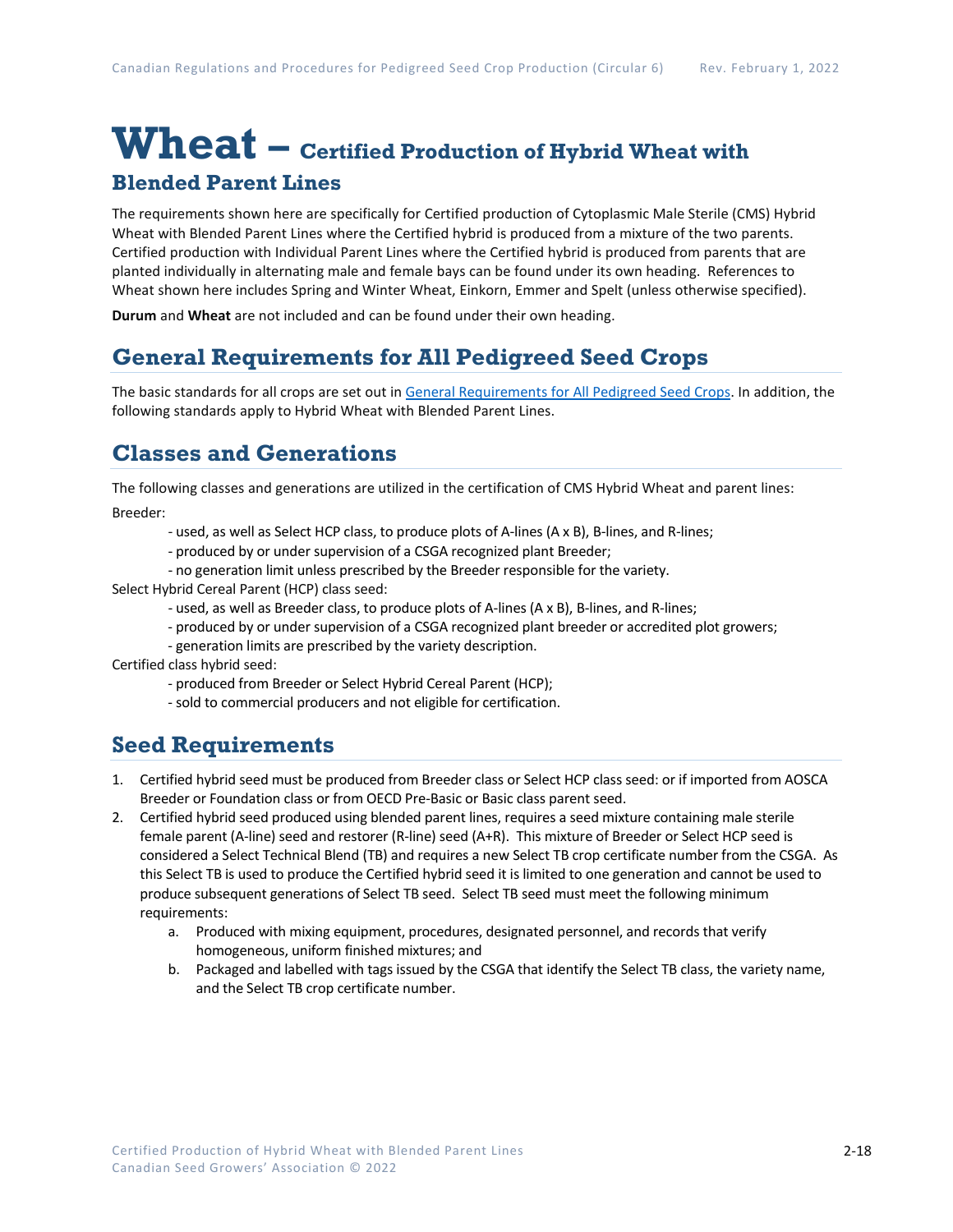# **Wheat – Certified Production of Hybrid Wheat with Blended Parent Lines**

The requirements shown here are specifically for Certified production of Cytoplasmic Male Sterile (CMS) Hybrid Wheat with Blended Parent Lines where the Certified hybrid is produced from a mixture of the two parents. Certified production with Individual Parent Lines where the Certified hybrid is produced from parents that are planted individually in alternating male and female bays can be found under its own heading. References to Wheat shown here includes Spring and Winter Wheat, Einkorn, Emmer and Spelt (unless otherwise specified).

**Durum** and **Wheat** are not included and can be found under their own heading.

## **General Requirements for All Pedigreed Seed Crops**

The basic standards for all crops are set out i[n General Requirements for All Pedigreed Seed](https://seedgrowers.ca/wp-content/uploads/2020/01/GENERAL-REQUIREMENTS-ALL-CROPS_EN.pdf) Crops. In addition, the following standards apply to Hybrid Wheat with Blended Parent Lines.

### **Classes and Generations**

The following classes and generations are utilized in the certification of CMS Hybrid Wheat and parent lines:

Breeder:

- used, as well as Select HCP class, to produce plots of A-lines (A x B), B-lines, and R-lines;
- produced by or under supervision of a CSGA recognized plant Breeder;
- no generation limit unless prescribed by the Breeder responsible for the variety.

Select Hybrid Cereal Parent (HCP) class seed:

- used, as well as Breeder class, to produce plots of A-lines (A x B), B-lines, and R-lines;
- produced by or under supervision of a CSGA recognized plant breeder or accredited plot growers;
- generation limits are prescribed by the variety description.

Certified class hybrid seed:

- produced from Breeder or Select Hybrid Cereal Parent (HCP);
- sold to commercial producers and not eligible for certification.

#### **Seed Requirements**

- 1. Certified hybrid seed must be produced from Breeder class or Select HCP class seed: or if imported from AOSCA Breeder or Foundation class or from OECD Pre-Basic or Basic class parent seed.
- 2. Certified hybrid seed produced using blended parent lines, requires a seed mixture containing male sterile female parent (A-line) seed and restorer (R-line) seed (A+R). This mixture of Breeder or Select HCP seed is considered a Select Technical Blend (TB) and requires a new Select TB crop certificate number from the CSGA. As this Select TB is used to produce the Certified hybrid seed it is limited to one generation and cannot be used to produce subsequent generations of Select TB seed. Select TB seed must meet the following minimum requirements:
	- a. Produced with mixing equipment, procedures, designated personnel, and records that verify homogeneous, uniform finished mixtures; and
	- b. Packaged and labelled with tags issued by the CSGA that identify the Select TB class, the variety name, and the Select TB crop certificate number.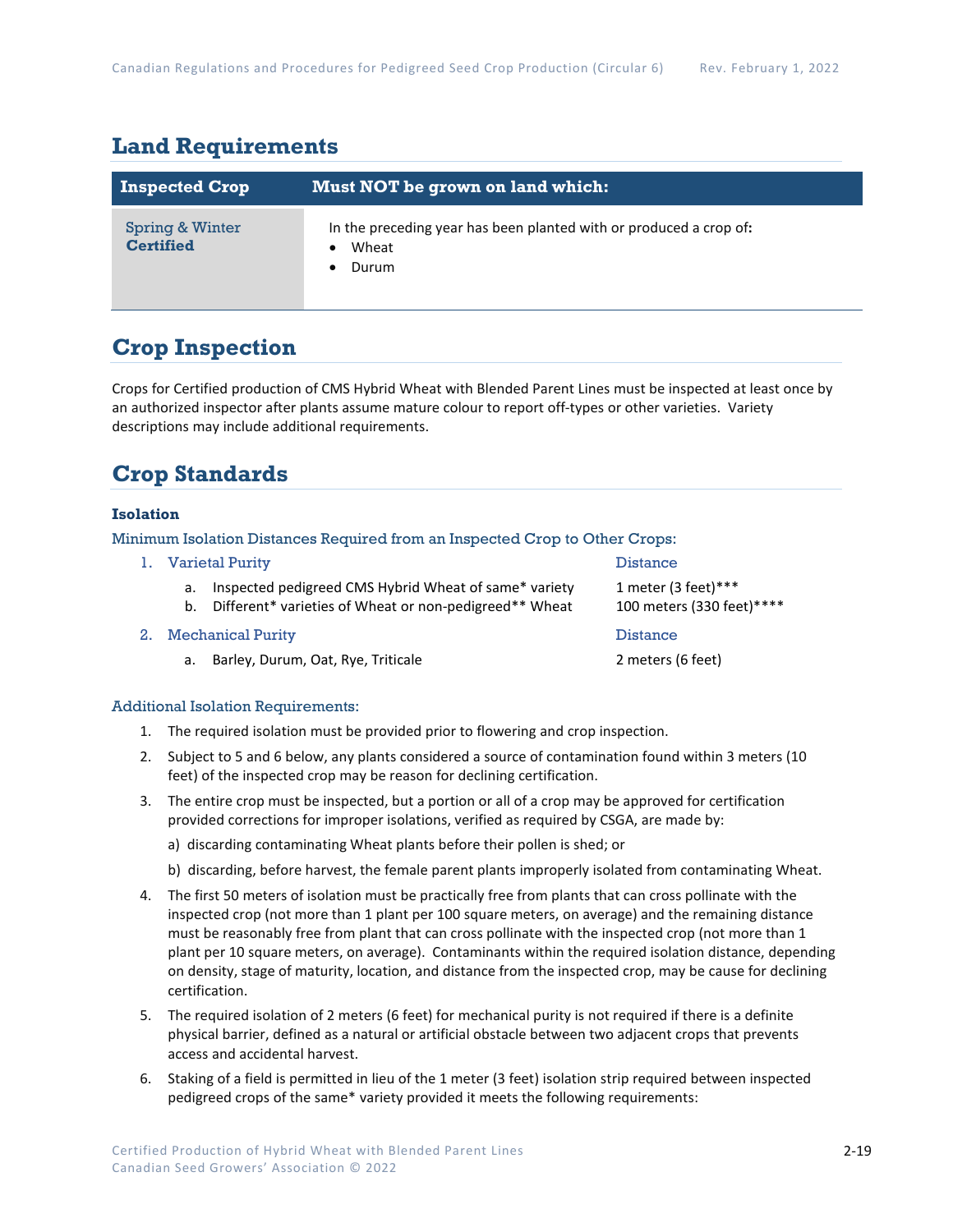### **Land Requirements**

| <b>Inspected Crop</b>               | Must NOT be grown on land which:                                                     |
|-------------------------------------|--------------------------------------------------------------------------------------|
| Spring & Winter<br><b>Certified</b> | In the preceding year has been planted with or produced a crop of:<br>Wheat<br>Durum |

### **Crop Inspection**

Crops for Certified production of CMS Hybrid Wheat with Blended Parent Lines must be inspected at least once by an authorized inspector after plants assume mature colour to report off-types or other varieties. Variety descriptions may include additional requirements.

# **Crop Standards**

#### **Isolation**

Minimum Isolation Distances Required from an Inspected Crop to Other Crops:

- 1. Varietal Purity Distance a. Inspected pedigreed CMS Hybrid Wheat of same\* variety 1 meter (3 feet)\*\*\*
	- b. Different\* varieties of Wheat or non-pedigreed\*\* Wheat 100 meters (330 feet)\*\*\*\*
- 2. Mechanical Purity **Distance Distance Distance** 
	- a. Barley, Durum, Oat, Rye, Triticale 2 meters (6 feet)

#### Additional Isolation Requirements:

- 1. The required isolation must be provided prior to flowering and crop inspection.
- 2. Subject to 5 and 6 below, any plants considered a source of contamination found within 3 meters (10 feet) of the inspected crop may be reason for declining certification.
- 3. The entire crop must be inspected, but a portion or all of a crop may be approved for certification provided corrections for improper isolations, verified as required by CSGA, are made by:
	- a) discarding contaminating Wheat plants before their pollen is shed; or
	- b) discarding, before harvest, the female parent plants improperly isolated from contaminating Wheat.
- 4. The first 50 meters of isolation must be practically free from plants that can cross pollinate with the inspected crop (not more than 1 plant per 100 square meters, on average) and the remaining distance must be reasonably free from plant that can cross pollinate with the inspected crop (not more than 1 plant per 10 square meters, on average). Contaminants within the required isolation distance, depending on density, stage of maturity, location, and distance from the inspected crop, may be cause for declining certification.
- 5. The required isolation of 2 meters (6 feet) for mechanical purity is not required if there is a definite physical barrier, defined as a natural or artificial obstacle between two adjacent crops that prevents access and accidental harvest.
- 6. Staking of a field is permitted in lieu of the 1 meter (3 feet) isolation strip required between inspected pedigreed crops of the same\* variety provided it meets the following requirements: